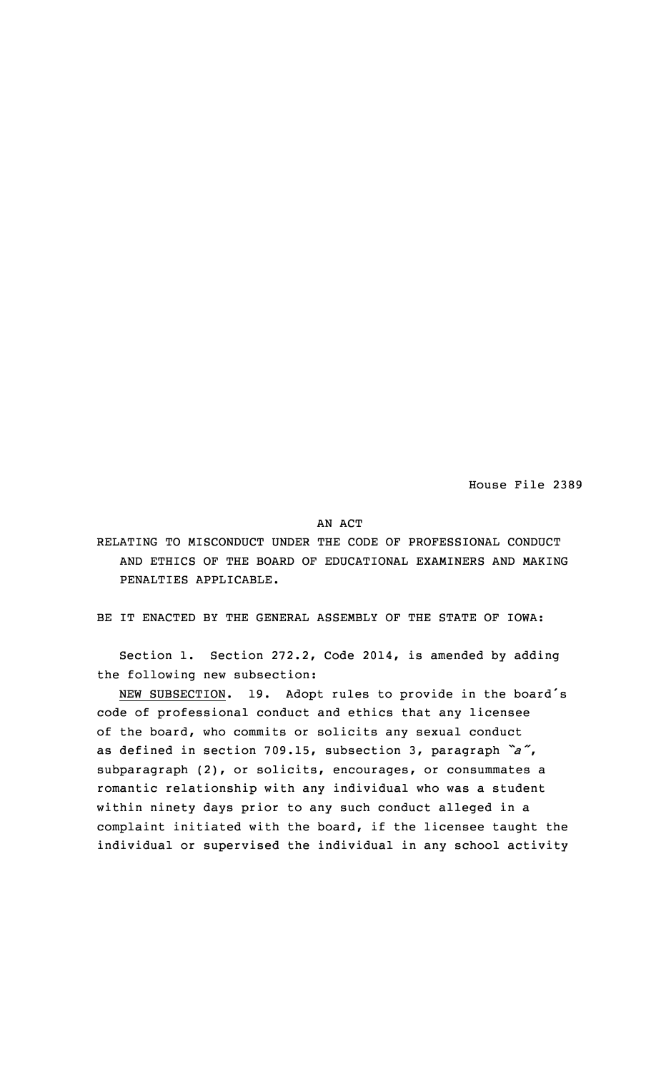House File 2389

## AN ACT

RELATING TO MISCONDUCT UNDER THE CODE OF PROFESSIONAL CONDUCT AND ETHICS OF THE BOARD OF EDUCATIONAL EXAMINERS AND MAKING PENALTIES APPLICABLE.

BE IT ENACTED BY THE GENERAL ASSEMBLY OF THE STATE OF IOWA:

Section 1. Section 272.2, Code 2014, is amended by adding the following new subsection:

NEW SUBSECTION. 19. Adopt rules to provide in the board's code of professional conduct and ethics that any licensee of the board, who commits or solicits any sexual conduct as defined in section 709.15, subsection 3, paragraph *"a"*, subparagraph (2), or solicits, encourages, or consummates <sup>a</sup> romantic relationship with any individual who was <sup>a</sup> student within ninety days prior to any such conduct alleged in <sup>a</sup> complaint initiated with the board, if the licensee taught the individual or supervised the individual in any school activity